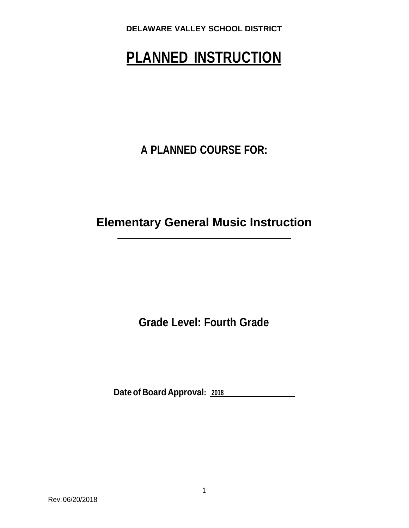# **PLANNED INSTRUCTION**

**A PLANNED COURSE FOR:**

**Elementary General Music Instruction**

**Grade Level: Fourth Grade**

**Dateof Board Approval: <sup>2018</sup>**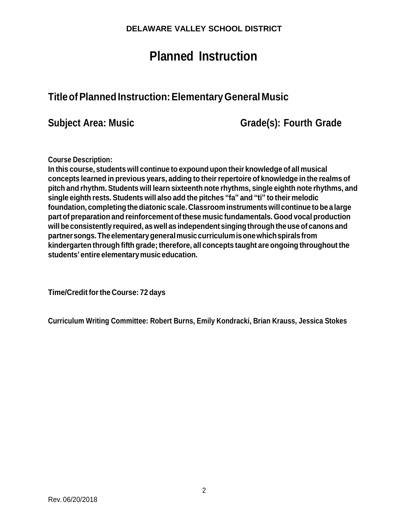# **Planned Instruction**

# **TitleofPlannedInstruction:ElementaryGeneral Music**

**Subject Area: Music Grade(s): Fourth Grade**

**Course Description:**

**In this course, students will continue to expound upon their knowledge of all musical concepts learned in previous years, adding to theirrepertoire of knowledge in the realms of pitch and rhythm. Students will learn sixteenth note rhythms, single eighth note rhythms, and single eighth rests. Students will also add the pitches "fa" and "ti" to their melodic foundation, completingthediatonic scale. Classroom instrumentswill continue tobe a large part of preparation and reinforcement ofthese music fundamentals. Good vocal production willbe consistently required, aswell as independent singingthroughtheuseof canons and partnersongs.Theelementarygeneralmusiccurriculumisonewhichspiralsfrom kindergarten through fifth grade; therefore, all concepts taught are ongoing throughout the students' entire elementarymusic education.**

**Time/Credit forthe Course: 72 days**

**Curriculum Writing Committee: Robert Burns, Emily Kondracki, Brian Krauss, Jessica Stokes**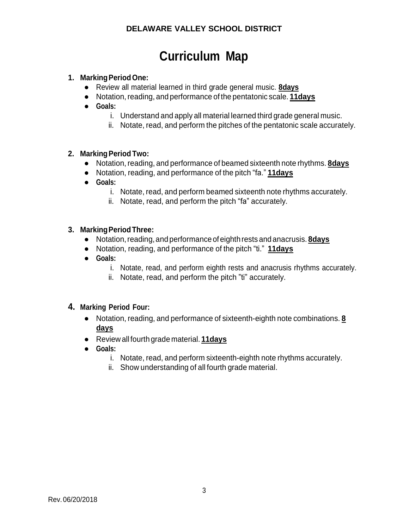# **Curriculum Map**

#### **1. MarkingPeriodOne:**

- Review all material learned in third grade general music. **8days**
- Notation,reading, and performance of the pentatonic scale. **11days**
- **● Goals:**
	- i. Understand and apply all material learned third grade general music.
	- ii. Notate, read, and perform the pitches of the pentatonic scale accurately.

#### **2. MarkingPeriod Two:**

- Notation, reading, and performance of beamed sixteenth note rhythms. **8days**
- Notation, reading, and performance of the pitch "fa." **11days**
- **● Goals:**
	- i. Notate, read, and perform beamed sixteenth note rhythms accurately.
	- ii. Notate, read, and perform the pitch "fa" accurately.

#### **3. MarkingPeriodThree:**

- Notation,reading,and performance of eighthrestsand anacrusis. **8days**
- Notation, reading, and performance of the pitch "ti." **11days**
- **● Goals:**
	- i. Notate, read, and perform eighth rests and anacrusis rhythms accurately.
	- ii. Notate, read, and perform the pitch "ti" accurately.

#### **4. Marking Period Four:**

- Notation, reading, and performance of sixteenth-eighth note combinations. **8 days**
- Review all fourth grade material. **11days**
- **● Goals:**
	- i. Notate, read, and perform sixteenth-eighth note rhythms accurately.
	- ii. Show understanding of all fourth grade material.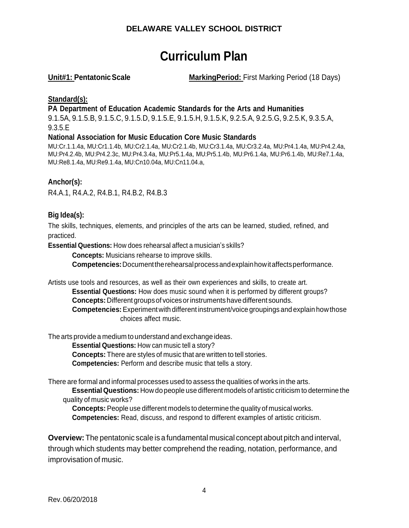# **Curriculum Plan**

**Unit#1: PentatonicScale MarkingPeriod:** First Marking Period (18 Days)

#### **Standard(s):**

**PA Department of Education Academic Standards for the Arts and Humanities**

9.1.5A, 9.1.5.B, 9.1.5.C, 9.1.5.D, 9.1.5.E, 9.1.5.H, 9.1.5.K, 9.2.5.A, 9.2.5.G, 9.2.5.K, 9.3.5.A, 9.3.5.E

#### **National Association for Music Education Core Music Standards**

MU:Cr.1.1.4a, MU:Cr1.1.4b, MU:Cr2.1.4a, MU:Cr2.1.4b, MU:Cr3.1.4a, MU:Cr3.2.4a, MU:Pr4.1.4a, MU:Pr4.2.4a, MU:Pr4.2.4b, MU:Pr4.2.3c, MU:Pr4.3.4a, MU:Pr5.1.4a, MU:Pr5.1.4b, MU:Pr6.1.4a, MU:Pr6.1.4b, MU:Re7.1.4a, MU:Re8.1.4a, MU:Re9.1.4a, MU:Cn10.04a, MU:Cn11.04.a,

#### **Anchor(s):**

R4.A.1, R4.A.2, R4.B.1, R4.B.2, R4.B.3

#### **Big Idea(s):**

The skills, techniques, elements, and principles of the arts can be learned, studied, refined, and practiced.

**Essential Questions:** How does rehearsal affect a musician's skills?

**Concepts:** Musicians rehearse to improve skills.

**Competencies:**Documenttherehearsalprocessandexplainhowitaffectsperformance.

Artists use tools and resources, as well as their own experiences and skills, to create art.

**Essential Questions:** How does music sound when it is performed by different groups? **Concepts:** Different groups of voices or instruments have different sounds.

**Competencies:**Experimentwith different instrument/voice groupings and explainhowthose choices affect music.

The arts provide a medium to understand and exchange ideas.

**Essential Questions:** How can music tell a story?

**Concepts:** There are styles of music that are written to tell stories.

**Competencies:** Perform and describe music that tells a story.

There are formal and informal processes used to assess the qualities of works in the arts.

**EssentialQuestions:** How do people use different models of artistic criticism to determine the quality of music works?

**Concepts:** People use different models to determine the quality of musical works.

**Competencies:** Read, discuss, and respond to different examples of artistic criticism.

**Overview:** The pentatonic scale is a fundamental musical concept about pitch and interval, through which students may better comprehend the reading, notation, performance, and improvisation of music.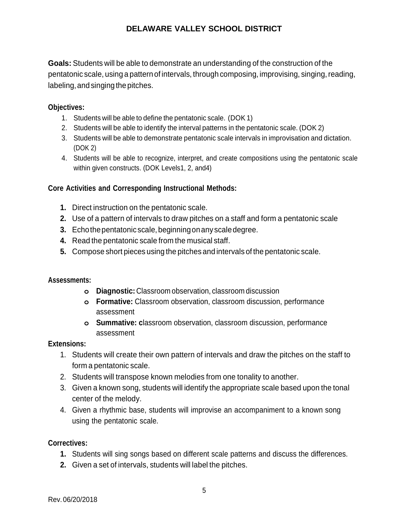**Goals:** Students will be able to demonstrate an understanding of the construction of the pentatonic scale, using a pattern of intervals, through composing, improvising, singing,reading, labeling,andsinging the pitches.

#### **Objectives:**

- 1. Students will be able to define the pentatonic scale. (DOK 1)
- 2. Students will be able to identify the interval patterns in the pentatonic scale. (DOK 2)
- 3. Students will be able to demonstrate pentatonic scale intervals in improvisation and dictation. (DOK 2)
- 4. Students will be able to recognize, interpret, and create compositions using the pentatonic scale within given constructs. (DOK Levels1, 2, and4)

#### **Core Activities and Corresponding Instructional Methods:**

- **1.** Direct instruction on the pentatonic scale.
- **2.** Use of a pattern of intervals to draw pitches on a staff and form a pentatonic scale
- **3.** Echothepentatonic scale,beginningonanyscaledegree.
- **4.** Read the pentatonic scale from the musical staff.
- **5.** Compose short pieces using the pitches and intervals of the pentatonic scale.

#### **Assessments:**

- **o Diagnostic:** Classroom observation, classroom discussion
- **o Formative:** Classroom observation, classroom discussion, performance assessment
- **o Summative: c**lassroom observation, classroom discussion, performance assessment

#### **Extensions:**

- 1. Students will create their own pattern of intervals and draw the pitches on the staff to form a pentatonic scale.
- 2. Students will transpose known melodies from one tonality to another.
- 3. Given a known song, students will identify the appropriate scale based upon the tonal center of the melody.
- 4. Given a rhythmic base, students will improvise an accompaniment to a known song using the pentatonic scale.

#### **Correctives:**

- **1.** Students will sing songs based on different scale patterns and discuss the differences.
- **2.** Given a set of intervals, students will label the pitches.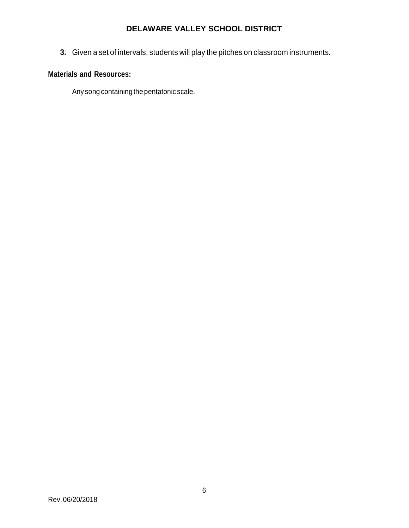**3.** Given a set of intervals, students will play the pitches on classroom instruments.

### **Materials and Resources:**

Any song containing the pentatonic scale.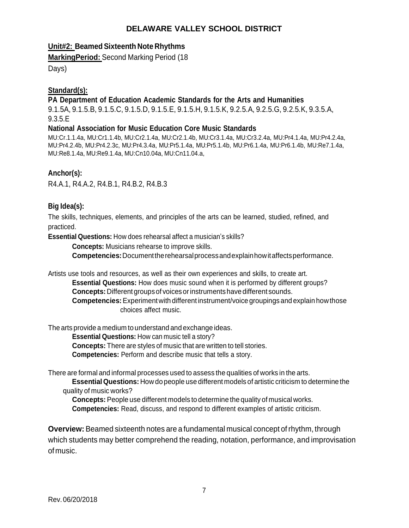#### **Unit#2: Beamed Sixteenth Note Rhythms**

**MarkingPeriod:** Second Marking Period (18

Days)

#### **Standard(s):**

#### **PA Department of Education Academic Standards for the Arts and Humanities**

9.1.5A, 9.1.5.B, 9.1.5.C, 9.1.5.D, 9.1.5.E, 9.1.5.H, 9.1.5.K, 9.2.5.A, 9.2.5.G, 9.2.5.K, 9.3.5.A, 9.3.5.E

#### **National Association for Music Education Core Music Standards**

MU:Cr.1.1.4a, MU:Cr1.1.4b, MU:Cr2.1.4a, MU:Cr2.1.4b, MU:Cr3.1.4a, MU:Cr3.2.4a, MU:Pr4.1.4a, MU:Pr4.2.4a, MU:Pr4.2.4b, MU:Pr4.2.3c, MU:Pr4.3.4a, MU:Pr5.1.4a, MU:Pr5.1.4b, MU:Pr6.1.4a, MU:Pr6.1.4b, MU:Re7.1.4a, MU:Re8.1.4a, MU:Re9.1.4a, MU:Cn10.04a, MU:Cn11.04.a,

#### **Anchor(s):**

R4.A.1, R4.A.2, R4.B.1, R4.B.2, R4.B.3

#### **Big Idea(s):**

The skills, techniques, elements, and principles of the arts can be learned, studied, refined, and practiced.

**Essential Questions:** How does rehearsal affect a musician's skills?

**Concepts:** Musicians rehearse to improve skills.

**Competencies:**Documenttherehearsalprocessandexplainhowitaffectsperformance.

Artists use tools and resources, as well as their own experiences and skills, to create art.

**Essential Questions:** How does music sound when it is performed by different groups? **Concepts:** Different groups of voices or instruments have different sounds.

**Competencies:**Experimentwith different instrument/voice groupings and explainhowthose choices affect music.

The arts provide a medium to understand and exchange ideas.

**Essential Questions:** How can music tell a story?

**Concepts:** There are styles of music that are written to tell stories.

**Competencies:** Perform and describe music that tells a story.

There are formal and informal processes used to assess the qualities of works in the arts.

**EssentialQuestions:** How do people use different models of artistic criticism to determine the quality of music works?

**Concepts:** People use different models to determine the quality of musical works.

**Competencies:** Read, discuss, and respond to different examples of artistic criticism.

**Overview:** Beamed sixteenth notes are a fundamental musical concept ofrhythm, through which students may better comprehend the reading, notation, performance, and improvisation ofmusic.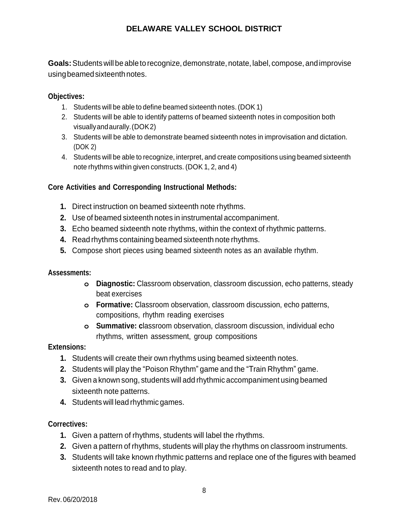**Goals:**Students will be ableto recognize, demonstrate, notate, label, compose, andimprovise usingbeamedsixteenthnotes.

#### **Objectives:**

- 1. Students will be able to define beamed sixteenth notes. (DOK 1)
- 2. Students will be able to identify patterns of beamed sixteenth notes in composition both visuallyandaurally.(DOK2)
- 3. Students will be able to demonstrate beamed sixteenth notes in improvisation and dictation. (DOK 2)
- 4. Students will be able to recognize, interpret, and create compositions using beamed sixteenth note rhythms within given constructs. (DOK 1, 2, and 4)

#### **Core Activities and Corresponding Instructional Methods:**

- **1.** Direct instruction on beamed sixteenth note rhythms.
- **2.** Use of beamed sixteenth notes in instrumental accompaniment.
- **3.** Echo beamed sixteenth note rhythms, within the context of rhythmic patterns.
- **4.** Read rhythms containing beamed sixteenth note rhythms.
- **5.** Compose short pieces using beamed sixteenth notes as an available rhythm.

#### **Assessments:**

- **o Diagnostic:** Classroom observation, classroom discussion, echo patterns, steady beat exercises
- **o Formative:** Classroom observation, classroom discussion, echo patterns, compositions, rhythm reading exercises
- **o Summative: c**lassroom observation, classroom discussion, individual echo rhythms, written assessment, group compositions

#### **Extensions:**

- **1.** Students will create their own rhythms using beamed sixteenth notes.
- **2.** Students will play the "Poison Rhythm" game and the "Train Rhythm" game.
- **3.** Given a known song, students will add rhythmic accompaniment using beamed sixteenth note patterns.
- **4.** Students will lead rhythmic games.

#### **Correctives:**

- **1.** Given a pattern of rhythms, students will label the rhythms.
- **2.** Given a pattern of rhythms, students will play the rhythms on classroom instruments.
- **3.** Students will take known rhythmic patterns and replace one of the figures with beamed sixteenth notes to read and to play.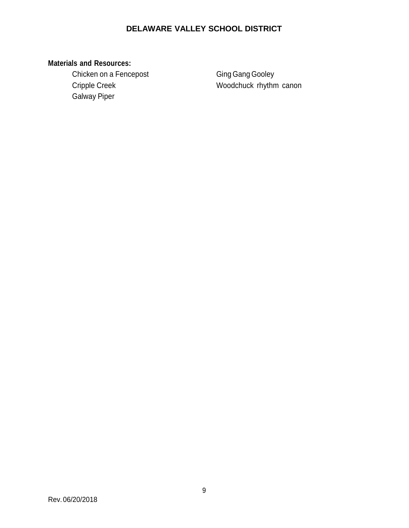# **Materials and Resources:**

Chicken on a Fencepost Ging Gang Gooley Galway Piper

Cripple Creek Woodchuck rhythm canon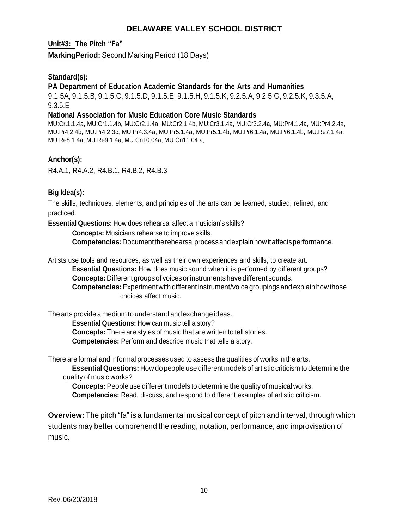**Unit#3: The Pitch "Fa"**

**MarkingPeriod:** Second Marking Period (18 Days)

#### **Standard(s):**

#### **PA Department of Education Academic Standards for the Arts and Humanities**

9.1.5A, 9.1.5.B, 9.1.5.C, 9.1.5.D, 9.1.5.E, 9.1.5.H, 9.1.5.K, 9.2.5.A, 9.2.5.G, 9.2.5.K, 9.3.5.A, 9.3.5.E

#### **National Association for Music Education Core Music Standards**

MU:Cr.1.1.4a, MU:Cr1.1.4b, MU:Cr2.1.4a, MU:Cr2.1.4b, MU:Cr3.1.4a, MU:Cr3.2.4a, MU:Pr4.1.4a, MU:Pr4.2.4a, MU:Pr4.2.4b, MU:Pr4.2.3c, MU:Pr4.3.4a, MU:Pr5.1.4a, MU:Pr5.1.4b, MU:Pr6.1.4a, MU:Pr6.1.4b, MU:Re7.1.4a, MU:Re8.1.4a, MU:Re9.1.4a, MU:Cn10.04a, MU:Cn11.04.a,

#### **Anchor(s):**

R4.A.1, R4.A.2, R4.B.1, R4.B.2, R4.B.3

#### **Big Idea(s):**

The skills, techniques, elements, and principles of the arts can be learned, studied, refined, and practiced.

**Essential Questions:** How does rehearsal affect a musician's skills?

**Concepts:** Musicians rehearse to improve skills.

**Competencies:**Documenttherehearsalprocessandexplainhowitaffectsperformance.

Artists use tools and resources, as well as their own experiences and skills, to create art. **Essential Questions:** How does music sound when it is performed by different groups? **Concepts:** Different groups of voices or instruments have different sounds. **Competencies:**Experimentwith different instrument/voice groupings and explainhowthose choices affect music.

The arts provide a medium to understand and exchange ideas.

**Essential Questions:** How can music tell a story?

**Concepts:** There are styles of music that are written to tell stories.

**Competencies:** Perform and describe music that tells a story.

There are formal and informal processes used to assess the qualities of works in the arts.

**EssentialQuestions:** How do people use different models of artistic criticism to determine the quality of music works?

**Concepts:** People use different models to determine the quality of musical works. **Competencies:** Read, discuss, and respond to different examples of artistic criticism.

**Overview:** The pitch "fa" is a fundamental musical concept of pitch and interval, through which students may better comprehend the reading, notation, performance, and improvisation of music.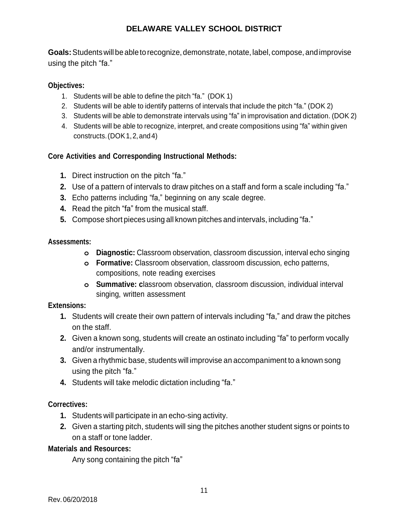**Goals:**Students will be ableto recognize, demonstrate, notate, label, compose, andimprovise using the pitch "fa."

### **Objectives:**

- 1. Students will be able to define the pitch "fa." (DOK 1)
- 2. Students will be able to identify patterns of intervals that include the pitch "fa." (DOK 2)
- 3. Students will be able to demonstrate intervals using "fa" in improvisation and dictation. (DOK 2)
- 4. Students will be able to recognize, interpret, and create compositions using "fa" within given constructs.(DOK1,2,and4)

#### **Core Activities and Corresponding Instructional Methods:**

- **1.** Direct instruction on the pitch "fa."
- **2.** Use of a pattern of intervals to draw pitches on a staff and form a scale including "fa."
- **3.** Echo patterns including "fa," beginning on any scale degree.
- **4.** Read the pitch "fa" from the musical staff.
- **5.** Compose short pieces using all known pitches and intervals, including "fa."

#### **Assessments:**

- **o Diagnostic:** Classroom observation, classroom discussion, interval echo singing
- **o Formative:** Classroom observation, classroom discussion, echo patterns, compositions, note reading exercises
- **o Summative: c**lassroom observation, classroom discussion, individual interval singing, written assessment

#### **Extensions:**

- **1.** Students will create their own pattern of intervals including "fa," and draw the pitches on the staff.
- **2.** Given a known song, students will create an ostinato including "fa" to perform vocally and/or instrumentally.
- **3.** Given a rhythmic base, students will improvise an accompaniment to a known song using the pitch "fa."
- **4.** Students will take melodic dictation including "fa."

#### **Correctives:**

- **1.** Students will participate in an echo-sing activity.
- **2.** Given a starting pitch, students will sing the pitches another student signs or points to on a staff or tone ladder.

#### **Materials and Resources:**

Any song containing the pitch "fa"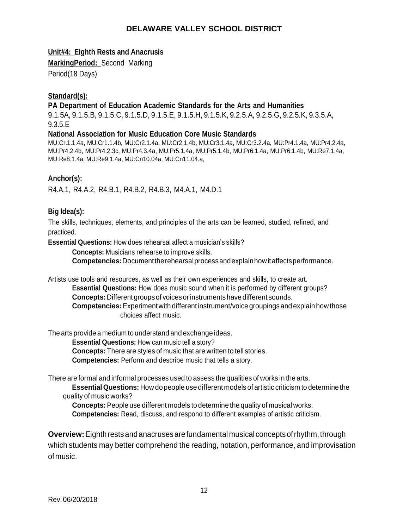#### **Unit#4: Eighth Rests and Anacrusis**

**MarkingPeriod:** Second Marking

Period(18 Days)

#### **Standard(s):**

#### **PA Department of Education Academic Standards for the Arts and Humanities**

9.1.5A, 9.1.5.B, 9.1.5.C, 9.1.5.D, 9.1.5.E, 9.1.5.H, 9.1.5.K, 9.2.5.A, 9.2.5.G, 9.2.5.K, 9.3.5.A, 9.3.5.E

#### **National Association for Music Education Core Music Standards**

MU:Cr.1.1.4a, MU:Cr1.1.4b, MU:Cr2.1.4a, MU:Cr2.1.4b, MU:Cr3.1.4a, MU:Cr3.2.4a, MU:Pr4.1.4a, MU:Pr4.2.4a, MU:Pr4.2.4b, MU:Pr4.2.3c, MU:Pr4.3.4a, MU:Pr5.1.4a, MU:Pr5.1.4b, MU:Pr6.1.4a, MU:Pr6.1.4b, MU:Re7.1.4a, MU:Re8.1.4a, MU:Re9.1.4a, MU:Cn10.04a, MU:Cn11.04.a,

#### **Anchor(s):**

R4.A.1, R4.A.2, R4.B.1, R4.B.2, R4.B.3, M4.A.1, M4.D.1

#### **Big Idea(s):**

The skills, techniques, elements, and principles of the arts can be learned, studied, refined, and practiced.

**Essential Questions:** How does rehearsal affect a musician's skills?

**Concepts:** Musicians rehearse to improve skills.

**Competencies:**Documenttherehearsalprocessandexplainhowitaffectsperformance.

Artists use tools and resources, as well as their own experiences and skills, to create art.

**Essential Questions:** How does music sound when it is performed by different groups? **Concepts:**Different groupsof voicesorinstrumentshavedifferent sounds.

**Competencies:**Experimentwith different instrument/voice groupings and explainhowthose choices affect music.

The arts provide a medium to understand and exchange ideas.

**Essential Questions:** How can music tell a story?

**Concepts:** There are styles of music that are written to tell stories.

**Competencies:** Perform and describe music that tells a story.

There are formal and informal processes used to assess the qualities of works in the arts.

**EssentialQuestions:** How do people use different models of artistic criticism to determine the quality of music works?

**Concepts:** People use different models to determine the quality of musical works. **Competencies:** Read, discuss, and respond to different examples of artistic criticism.

**Overview:**Eighthrestsandanacrusesarefundamental musical conceptsofrhythm,through which students may better comprehend the reading, notation, performance, and improvisation ofmusic.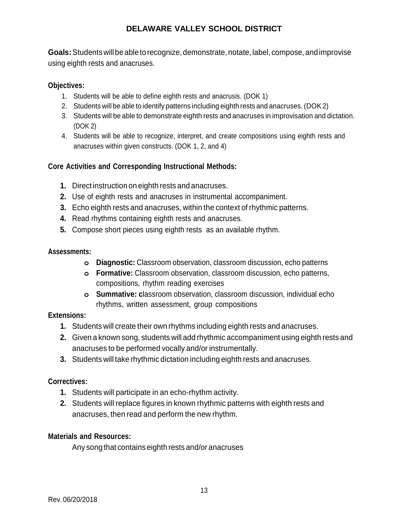**Goals:**Students will be ableto recognize, demonstrate, notate, label, compose, andimprovise using eighth rests and anacruses.

#### **Objectives:**

- 1. Students will be able to define eighth rests and anacrusis. (DOK 1)
- 2. Students will be able to identify patterns including eighth rests and anacruses. (DOK 2)
- 3. Students will be able to demonstrate eighth rests and anacruses in improvisation and dictation. (DOK 2)
- 4. Students will be able to recognize, interpret, and create compositions using eighth rests and anacruses within given constructs. (DOK 1, 2, and 4)

### **Core Activities and Corresponding Instructional Methods:**

- **1.** Direct instruction on eighth rests and anacruses.
- **2.** Use of eighth rests and anacruses in instrumental accompaniment.
- **3.** Echo eighth rests and anacruses, within the context of rhythmic patterns.
- **4.** Read rhythms containing eighth rests and anacruses.
- **5.** Compose short pieces using eighth rests as an available rhythm.

#### **Assessments:**

- **o Diagnostic:** Classroom observation, classroom discussion, echo patterns
- **o Formative:** Classroom observation, classroom discussion, echo patterns, compositions, rhythm reading exercises
- **o Summative: c**lassroom observation, classroom discussion, individual echo rhythms, written assessment, group compositions

#### **Extensions:**

- **1.** Students will create their own rhythms including eighth rests and anacruses.
- **2.** Given a known song, students will add rhythmic accompaniment using eighth rests and anacruses to be performed vocally and/or instrumentally.
- **3.** Students will take rhythmic dictation including eighth rests and anacruses.

#### **Correctives:**

- **1.** Students will participate in an echo-rhythm activity.
- **2.** Students will replace figures in known rhythmic patterns with eighth rests and anacruses, then read and perform the new rhythm.

#### **Materials and Resources:**

Any song that contains eighth rests and/or anacruses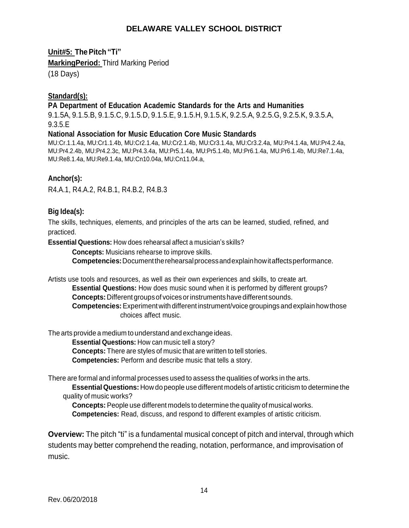**Unit#5: The Pitch "Ti"** 

**MarkingPeriod:** Third Marking Period

(18 Days)

#### **Standard(s):**

#### **PA Department of Education Academic Standards for the Arts and Humanities**

9.1.5A, 9.1.5.B, 9.1.5.C, 9.1.5.D, 9.1.5.E, 9.1.5.H, 9.1.5.K, 9.2.5.A, 9.2.5.G, 9.2.5.K, 9.3.5.A, 9.3.5.E

#### **National Association for Music Education Core Music Standards**

MU:Cr.1.1.4a, MU:Cr1.1.4b, MU:Cr2.1.4a, MU:Cr2.1.4b, MU:Cr3.1.4a, MU:Cr3.2.4a, MU:Pr4.1.4a, MU:Pr4.2.4a, MU:Pr4.2.4b, MU:Pr4.2.3c, MU:Pr4.3.4a, MU:Pr5.1.4a, MU:Pr5.1.4b, MU:Pr6.1.4a, MU:Pr6.1.4b, MU:Re7.1.4a, MU:Re8.1.4a, MU:Re9.1.4a, MU:Cn10.04a, MU:Cn11.04.a,

#### **Anchor(s):**

R4.A.1, R4.A.2, R4.B.1, R4.B.2, R4.B.3

#### **Big Idea(s):**

The skills, techniques, elements, and principles of the arts can be learned, studied, refined, and practiced.

**Essential Questions:** How does rehearsal affect a musician's skills?

**Concepts:** Musicians rehearse to improve skills.

**Competencies:**Documenttherehearsalprocessandexplainhowitaffectsperformance.

Artists use tools and resources, as well as their own experiences and skills, to create art.

**Essential Questions:** How does music sound when it is performed by different groups? **Concepts:**Different groupsof voicesorinstrumentshavedifferent sounds.

**Competencies:**Experimentwith different instrument/voice groupings and explainhowthose choices affect music.

The arts provide a medium to understand and exchange ideas.

**Essential Questions:** How can music tell a story?

**Concepts:** There are styles of music that are written to tell stories.

**Competencies:** Perform and describe music that tells a story.

There are formal and informal processes used to assess the qualities of works in the arts.

**EssentialQuestions:** How do people use different models of artistic criticism to determine the quality of music works?

**Concepts:** People use different models to determine the quality of musical works. **Competencies:** Read, discuss, and respond to different examples of artistic criticism.

**Overview:** The pitch "ti" is a fundamental musical concept of pitch and interval, through which students may better comprehend the reading, notation, performance, and improvisation of music.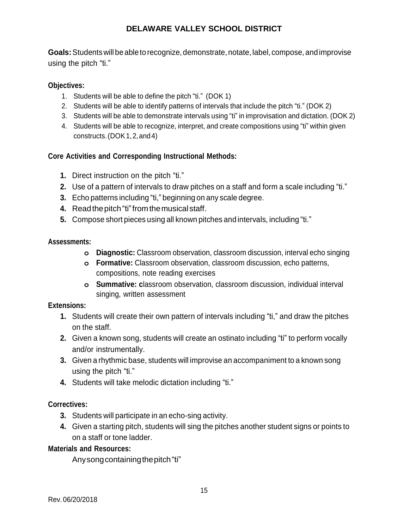**Goals:**Students will be ableto recognize, demonstrate, notate, label, compose, andimprovise using the pitch "ti."

#### **Objectives:**

- 1. Students will be able to define the pitch "ti." (DOK 1)
- 2. Students will be able to identify patterns of intervals that include the pitch "ti." (DOK 2)
- 3. Students will be able to demonstrate intervals using "ti" in improvisation and dictation. (DOK 2)
- 4. Students will be able to recognize, interpret, and create compositions using "ti" within given constructs.(DOK1,2,and4)

#### **Core Activities and Corresponding Instructional Methods:**

- **1.** Direct instruction on the pitch "ti."
- **2.** Use of a pattern of intervals to draw pitches on a staff and form a scale including "ti."
- **3.** Echo patterns including "ti," beginning on any scale degree.
- **4.** Readthepitch"ti"fromthemusicalstaff.
- **5.** Compose short pieces using all known pitches and intervals, including "ti."

#### **Assessments:**

- **o Diagnostic:** Classroom observation, classroom discussion, interval echo singing
- **o Formative:** Classroom observation, classroom discussion, echo patterns, compositions, note reading exercises
- **o Summative: c**lassroom observation, classroom discussion, individual interval singing, written assessment

#### **Extensions:**

- **1.** Students will create their own pattern of intervals including "ti," and draw the pitches on the staff.
- **2.** Given a known song, students will create an ostinato including "ti" to perform vocally and/or instrumentally.
- **3.** Given a rhythmic base, students will improvise an accompaniment to a known song using the pitch "ti."
- **4.** Students will take melodic dictation including "ti."

### **Correctives:**

- **3.** Students will participate in an echo-sing activity.
- **4.** Given a starting pitch, students will sing the pitches another student signs or points to on a staff or tone ladder.

#### **Materials and Resources:**

Anysongcontainingthepitch"ti"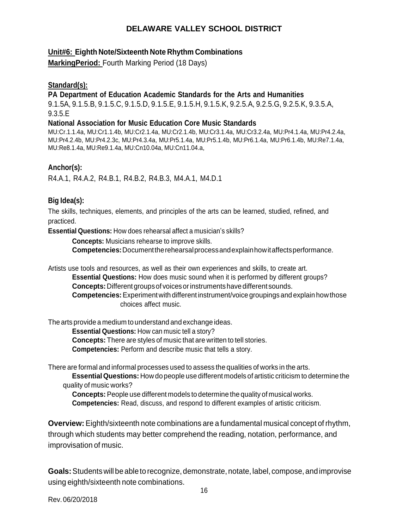#### **Unit#6: Eighth Note/Sixteenth Note Rhythm Combinations**

**MarkingPeriod:** Fourth Marking Period (18 Days)

#### **Standard(s):**

#### **PA Department of Education Academic Standards for the Arts and Humanities**

9.1.5A, 9.1.5.B, 9.1.5.C, 9.1.5.D, 9.1.5.E, 9.1.5.H, 9.1.5.K, 9.2.5.A, 9.2.5.G, 9.2.5.K, 9.3.5.A, 9.3.5.E

#### **National Association for Music Education Core Music Standards**

MU:Cr.1.1.4a, MU:Cr1.1.4b, MU:Cr2.1.4a, MU:Cr2.1.4b, MU:Cr3.1.4a, MU:Cr3.2.4a, MU:Pr4.1.4a, MU:Pr4.2.4a, MU:Pr4.2.4b, MU:Pr4.2.3c, MU:Pr4.3.4a, MU:Pr5.1.4a, MU:Pr5.1.4b, MU:Pr6.1.4a, MU:Pr6.1.4b, MU:Re7.1.4a, MU:Re8.1.4a, MU:Re9.1.4a, MU:Cn10.04a, MU:Cn11.04.a,

#### **Anchor(s):**

R4.A.1, R4.A.2, R4.B.1, R4.B.2, R4.B.3, M4.A.1, M4.D.1

#### **Big Idea(s):**

The skills, techniques, elements, and principles of the arts can be learned, studied, refined, and practiced.

**Essential Questions:** How does rehearsal affect a musician's skills?

**Concepts:** Musicians rehearse to improve skills. **Competencies:**Documenttherehearsalprocessandexplainhowitaffectsperformance.

Artists use tools and resources, as well as their own experiences and skills, to create art. **Essential Questions:** How does music sound when it is performed by different groups? **Concepts:** Different groups of voices or instruments have different sounds. **Competencies:**Experimentwith different instrument/voice groupings and explainhowthose choices affect music.

The arts provide a medium to understand and exchange ideas.

**Essential Questions:** How can music tell a story?

**Concepts:** There are styles of music that are written to tell stories.

**Competencies:** Perform and describe music that tells a story.

There are formal and informal processes used to assess the qualities of works in the arts.

**EssentialQuestions:** How do people use different models of artistic criticism to determine the quality of music works?

**Concepts:** People use different models to determine the quality of musical works. **Competencies:** Read, discuss, and respond to different examples of artistic criticism.

**Overview:** Eighth/sixteenth note combinations are a fundamental musical concept of rhythm, through which students may better comprehend the reading, notation, performance, and improvisation of music.

**Goals:**Students will be ableto recognize, demonstrate, notate, label, compose, andimprovise using eighth/sixteenth note combinations.

Rev.06/20/2018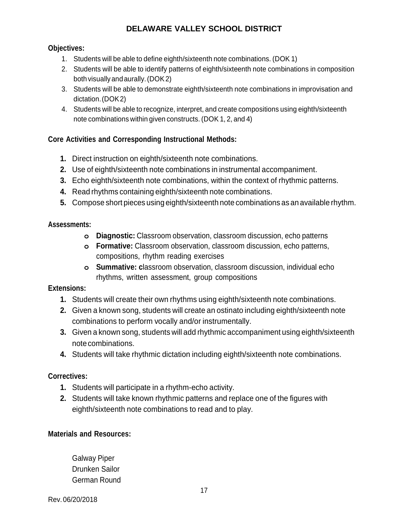#### **Objectives:**

- 1. Students will be able to define eighth/sixteenth note combinations. (DOK 1)
- 2. Students will be able to identify patterns of eighth/sixteenth note combinations in composition bothvisually andaurally.(DOK2)
- 3. Students will be able to demonstrate eighth/sixteenth note combinations in improvisation and dictation.(DOK2)
- 4. Students will be able to recognize, interpret, and create compositions using eighth/sixteenth note combinations within given constructs. (DOK 1, 2, and 4)

#### **Core Activities and Corresponding Instructional Methods:**

- **1.** Direct instruction on eighth/sixteenth note combinations.
- **2.** Use of eighth/sixteenth note combinations in instrumental accompaniment.
- **3.** Echo eighth/sixteenth note combinations, within the context of rhythmic patterns.
- **4.** Read rhythms containing eighth/sixteenth note combinations.
- **5.** Compose short pieces using eighth/sixteenth note combinations as an available rhythm.

#### **Assessments:**

- **o Diagnostic:** Classroom observation, classroom discussion, echo patterns
- **o Formative:** Classroom observation, classroom discussion, echo patterns, compositions, rhythm reading exercises
- **o Summative: c**lassroom observation, classroom discussion, individual echo rhythms, written assessment, group compositions

#### **Extensions:**

- **1.** Students will create their own rhythms using eighth/sixteenth note combinations.
- **2.** Given a known song, students will create an ostinato including eighth/sixteenth note combinations to perform vocally and/or instrumentally.
- **3.** Given a known song, students will add rhythmic accompaniment using eighth/sixteenth notecombinations.
- **4.** Students will take rhythmic dictation including eighth/sixteenth note combinations.

#### **Correctives:**

- **1.** Students will participate in a rhythm-echo activity.
- **2.** Students will take known rhythmic patterns and replace one of the figures with eighth/sixteenth note combinations to read and to play.

#### **Materials and Resources:**

Galway Piper Drunken Sailor German Round